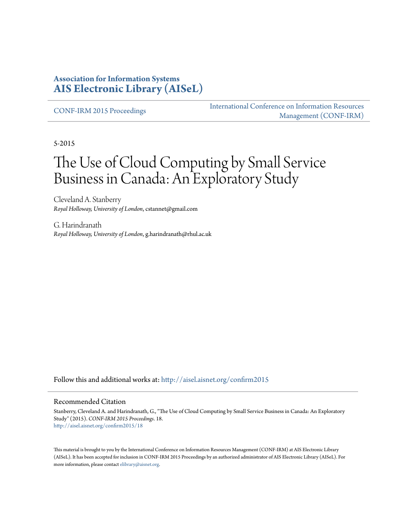### **Association for Information Systems [AIS Electronic Library \(AISeL\)](http://aisel.aisnet.org?utm_source=aisel.aisnet.org%2Fconfirm2015%2F18&utm_medium=PDF&utm_campaign=PDFCoverPages)**

[CONF-IRM 2015 Proceedings](http://aisel.aisnet.org/confirm2015?utm_source=aisel.aisnet.org%2Fconfirm2015%2F18&utm_medium=PDF&utm_campaign=PDFCoverPages)

[International Conference on Information Resources](http://aisel.aisnet.org/conf-irm?utm_source=aisel.aisnet.org%2Fconfirm2015%2F18&utm_medium=PDF&utm_campaign=PDFCoverPages) [Management \(CONF-IRM\)](http://aisel.aisnet.org/conf-irm?utm_source=aisel.aisnet.org%2Fconfirm2015%2F18&utm_medium=PDF&utm_campaign=PDFCoverPages)

5-2015

# The Use of Cloud Computing by Small Service Business in Canada: An Exploratory Study

Cleveland A. Stanberry *Royal Holloway, University of London*, cstannet@gmail.com

G. Harindranath *Royal Holloway, University of London*, g.harindranath@rhul.ac.uk

Follow this and additional works at: [http://aisel.aisnet.org/confirm2015](http://aisel.aisnet.org/confirm2015?utm_source=aisel.aisnet.org%2Fconfirm2015%2F18&utm_medium=PDF&utm_campaign=PDFCoverPages)

#### Recommended Citation

Stanberry, Cleveland A. and Harindranath, G., "The Use of Cloud Computing by Small Service Business in Canada: An Exploratory Study" (2015). *CONF-IRM 2015 Proceedings*. 18. [http://aisel.aisnet.org/confirm2015/18](http://aisel.aisnet.org/confirm2015/18?utm_source=aisel.aisnet.org%2Fconfirm2015%2F18&utm_medium=PDF&utm_campaign=PDFCoverPages)

This material is brought to you by the International Conference on Information Resources Management (CONF-IRM) at AIS Electronic Library (AISeL). It has been accepted for inclusion in CONF-IRM 2015 Proceedings by an authorized administrator of AIS Electronic Library (AISeL). For more information, please contact [elibrary@aisnet.org.](mailto:elibrary@aisnet.org%3E)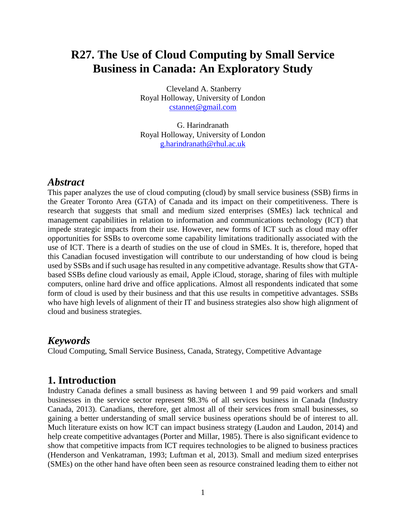## **R27. The Use of Cloud Computing by Small Service Business in Canada: An Exploratory Study**

Cleveland A. Stanberry Royal Holloway, University of London [cstannet@gmail.com](mailto:cstannet@gmail.com)

G. Harindranath Royal Holloway, University of London [g.harindranath@rhul.ac.uk](mailto:g.harindranath@rhul.ac.uk)

#### *Abstract*

This paper analyzes the use of cloud computing (cloud) by small service business (SSB) firms in the Greater Toronto Area (GTA) of Canada and its impact on their competitiveness. There is research that suggests that small and medium sized enterprises (SMEs) lack technical and management capabilities in relation to information and communications technology (ICT) that impede strategic impacts from their use. However, new forms of ICT such as cloud may offer opportunities for SSBs to overcome some capability limitations traditionally associated with the use of ICT. There is a dearth of studies on the use of cloud in SMEs. It is, therefore, hoped that this Canadian focused investigation will contribute to our understanding of how cloud is being used by SSBs and if such usage has resulted in any competitive advantage. Results show that GTAbased SSBs define cloud variously as email, Apple iCloud, storage, sharing of files with multiple computers, online hard drive and office applications. Almost all respondents indicated that some form of cloud is used by their business and that this use results in competitive advantages. SSBs who have high levels of alignment of their IT and business strategies also show high alignment of cloud and business strategies.

### *Keywords*

Cloud Computing, Small Service Business, Canada, Strategy, Competitive Advantage

#### **1. Introduction**

Industry Canada defines a small business as having between 1 and 99 paid workers and small businesses in the service sector represent 98.3% of all services business in Canada (Industry Canada, 2013). Canadians, therefore, get almost all of their services from small businesses, so gaining a better understanding of small service business operations should be of interest to all. Much literature exists on how ICT can impact business strategy (Laudon and Laudon, 2014) and help create competitive advantages (Porter and Millar, 1985). There is also significant evidence to show that competitive impacts from ICT requires technologies to be aligned to business practices (Henderson and Venkatraman, 1993; Luftman et al, 2013). Small and medium sized enterprises (SMEs) on the other hand have often been seen as resource constrained leading them to either not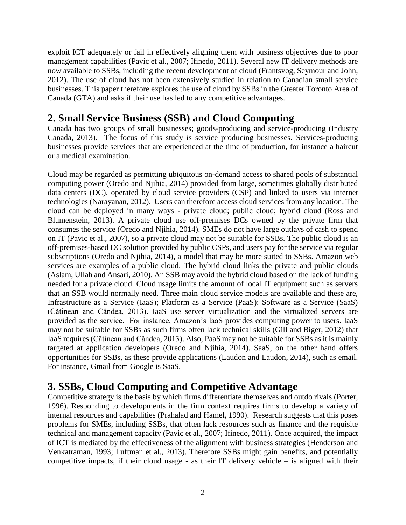exploit ICT adequately or fail in effectively aligning them with business objectives due to poor management capabilities (Pavic et al., 2007; Ifinedo, 2011). Several new IT delivery methods are now available to SSBs, including the recent development of cloud (Frantsvog, Seymour and John, 2012). The use of cloud has not been extensively studied in relation to Canadian small service businesses. This paper therefore explores the use of cloud by SSBs in the Greater Toronto Area of Canada (GTA) and asks if their use has led to any competitive advantages.

## **2. Small Service Business (SSB) and Cloud Computing**

Canada has two groups of small businesses; goods-producing and service-producing (Industry Canada, 2013). The focus of this study is service producing businesses. Services-producing businesses provide services that are experienced at the time of production, for instance a haircut or a medical examination.

Cloud may be regarded as permitting ubiquitous on-demand access to shared pools of substantial computing power (Oredo and Njihia, 2014) provided from large, sometimes globally distributed data centers (DC), operated by cloud service providers (CSP) and linked to users via internet technologies (Narayanan, 2012). Users can therefore access cloud services from any location. The cloud can be deployed in many ways - private cloud; public cloud; hybrid cloud (Ross and Blumenstein, 2013). A private cloud use off-premises DCs owned by the private firm that consumes the service (Oredo and Njihia, 2014). SMEs do not have large outlays of cash to spend on IT (Pavic et al., 2007), so a private cloud may not be suitable for SSBs. The public cloud is an off-premises-based DC solution provided by public CSPs, and users pay for the service via regular subscriptions (Oredo and Njihia, 2014), a model that may be more suited to SSBs. Amazon web services are examples of a public cloud. The hybrid cloud links the private and public clouds (Aslam, Ullah and Ansari, 2010). An SSB may avoid the hybrid cloud based on the lack of funding needed for a private cloud. Cloud usage limits the amount of local IT equipment such as servers that an SSB would normally need. Three main cloud service models are available and these are, Infrastructure as a Service (IaaS); Platform as a Service (PaaS); Software as a Service (SaaS) (Cătinean and Cândea, 2013). IaaS use server virtualization and the virtualized servers are provided as the service. For instance, Amazon's IaaS provides computing power to users. IaaS may not be suitable for SSBs as such firms often lack technical skills (Gill and Biger, 2012) that IaaS requires (Cătinean and Cândea, 2013). Also, PaaS may not be suitable for SSBs as it is mainly targeted at application developers (Oredo and Njihia, 2014). SaaS, on the other hand offers opportunities for SSBs, as these provide applications (Laudon and Laudon, 2014), such as email. For instance, Gmail from Google is SaaS.

## **3. SSBs, Cloud Computing and Competitive Advantage**

Competitive strategy is the basis by which firms differentiate themselves and outdo rivals (Porter, 1996). Responding to developments in the firm context requires firms to develop a variety of internal resources and capabilities (Prahalad and Hamel, 1990). Research suggests that this poses problems for SMEs, including SSBs, that often lack resources such as finance and the requisite technical and management capacity (Pavic et al., 2007; Ifinedo, 2011). Once acquired, the impact of ICT is mediated by the effectiveness of the alignment with business strategies (Henderson and Venkatraman, 1993; Luftman et al., 2013). Therefore SSBs might gain benefits, and potentially competitive impacts, if their cloud usage - as their IT delivery vehicle  $-$  is aligned with their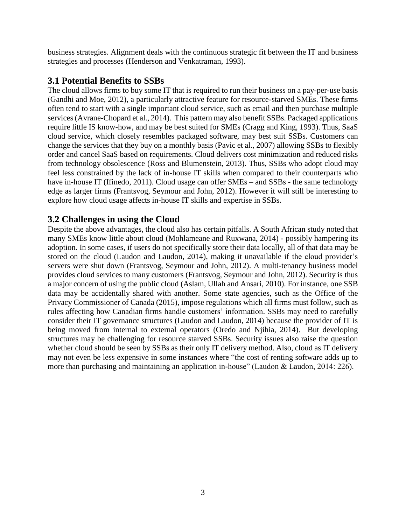business strategies. Alignment deals with the continuous strategic fit between the IT and business strategies and processes (Henderson and Venkatraman, 1993).

#### **3.1 Potential Benefits to SSBs**

The cloud allows firms to buy some IT that is required to run their business on a pay-per-use basis (Gandhi and Moe, 2012), a particularly attractive feature for resource-starved SMEs. These firms often tend to start with a single important cloud service, such as email and then purchase multiple services (Avrane-Chopard et al., 2014). This pattern may also benefit SSBs. Packaged applications require little IS know-how, and may be best suited for SMEs (Cragg and King, 1993). Thus, SaaS cloud service, which closely resembles packaged software, may best suit SSBs. Customers can change the services that they buy on a monthly basis (Pavic et al., 2007) allowing SSBs to flexibly order and cancel SaaS based on requirements. Cloud delivers cost minimization and reduced risks from technology obsolescence (Ross and Blumenstein, 2013). Thus, SSBs who adopt cloud may feel less constrained by the lack of in-house IT skills when compared to their counterparts who have in-house IT (Ifinedo, 2011). Cloud usage can offer SMEs – and SSBs - the same technology edge as larger firms (Frantsvog, Seymour and John, 2012). However it will still be interesting to explore how cloud usage affects in-house IT skills and expertise in SSBs.

#### **3.2 Challenges in using the Cloud**

Despite the above advantages, the cloud also has certain pitfalls. A South African study noted that many SMEs know little about cloud (Mohlameane and Ruxwana, 2014) - possibly hampering its adoption. In some cases, if users do not specifically store their data locally, all of that data may be stored on the cloud (Laudon and Laudon, 2014), making it unavailable if the cloud provider's servers were shut down (Frantsvog, Seymour and John, 2012). A multi-tenancy business model provides cloud services to many customers (Frantsvog, Seymour and John, 2012). Security is thus a major concern of using the public cloud (Aslam, Ullah and Ansari, 2010). For instance, one SSB data may be accidentally shared with another. Some state agencies, such as the Office of the Privacy Commissioner of Canada (2015), impose regulations which all firms must follow, such as rules affecting how Canadian firms handle customers' information. SSBs may need to carefully consider their IT governance structures (Laudon and Laudon, 2014) because the provider of IT is being moved from internal to external operators (Oredo and Njihia, 2014). But developing structures may be challenging for resource starved SSBs. Security issues also raise the question whether cloud should be seen by SSBs as their only IT delivery method. Also, cloud as IT delivery may not even be less expensive in some instances where "the cost of renting software adds up to more than purchasing and maintaining an application in-house" (Laudon & Laudon, 2014: 226).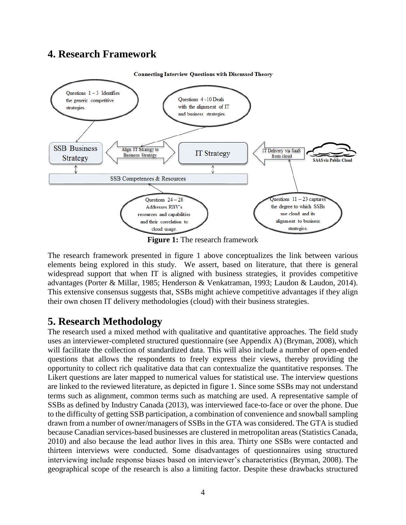### **4. Research Framework**



**Figure 1:** The research framework

The research framework presented in figure 1 above conceptualizes the link between various elements being explored in this study. We assert, based on literature, that there is general widespread support that when IT is aligned with business strategies, it provides competitive advantages (Porter & Millar, 1985; Henderson & Venkatraman, 1993; Laudon & Laudon, 2014). This extensive consensus suggests that, SSBs might achieve competitive advantages if they align their own chosen IT delivery methodologies (cloud) with their business strategies.

## **5. Research Methodology**

The research used a mixed method with qualitative and quantitative approaches. The field study uses an interviewer-completed structured questionnaire (see Appendix A) (Bryman, 2008), which will facilitate the collection of standardized data. This will also include a number of open-ended questions that allows the respondents to freely express their views, thereby providing the opportunity to collect rich qualitative data that can contextualize the quantitative responses. The Likert questions are later mapped to numerical values for statistical use. The interview questions are linked to the reviewed literature, as depicted in figure 1. Since some SSBs may not understand terms such as alignment, common terms such as matching are used. A representative sample of SSBs as defined by Industry Canada (2013), was interviewed face-to-face or over the phone. Due to the difficulty of getting SSB participation, a combination of convenience and snowball sampling drawn from a number of owner/managers of SSBs in the GTA was considered. The GTA is studied because Canadian services-based businesses are clustered in metropolitan areas (Statistics Canada, 2010) and also because the lead author lives in this area. Thirty one SSBs were contacted and thirteen interviews were conducted. Some disadvantages of questionnaires using structured interviewing include response biases based on interviewer's characteristics (Bryman, 2008). The geographical scope of the research is also a limiting factor. Despite these drawbacks structured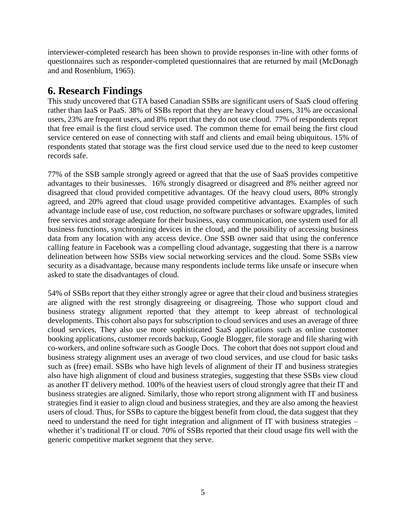interviewer-completed research has been shown to provide responses in-line with other forms of questionnaires such as responder-completed questionnaires that are returned by mail (McDonagh and and Rosenblum, 1965).

## **6. Research Findings**

This study uncovered that GTA based Canadian SSBs are significant users of SaaS cloud offering rather than IaaS or PaaS. 38% of SSBs report that they are heavy cloud users, 31% are occasional users, 23% are frequent users, and 8% report that they do not use cloud. 77% of respondents report that free email is the first cloud service used. The common theme for email being the first cloud service centered on ease of connecting with staff and clients and email being ubiquitous. 15% of respondents stated that storage was the first cloud service used due to the need to keep customer records safe.

77% of the SSB sample strongly agreed or agreed that that the use of SaaS provides competitive advantages to their businesses. 16% strongly disagreed or disagreed and 8% neither agreed nor disagreed that cloud provided competitive advantages. Of the heavy cloud users, 80% strongly agreed, and 20% agreed that cloud usage provided competitive advantages. Examples of such advantage include ease of use, cost reduction, no software purchases or software upgrades, limited free services and storage adequate for their business, easy communication, one system used for all business functions, synchronizing devices in the cloud, and the possibility of accessing business data from any location with any access device. One SSB owner said that using the conference calling feature in Facebook was a compelling cloud advantage, suggesting that there is a narrow delineation between how SSBs view social networking services and the cloud. Some SSBs view security as a disadvantage, because many respondents include terms like unsafe or insecure when asked to state the disadvantages of cloud.

54% of SSBs report that they either strongly agree or agree that their cloud and business strategies are aligned with the rest strongly disagreeing or disagreeing. Those who support cloud and business strategy alignment reported that they attempt to keep abreast of technological developments. This cohort also pays for subscription to cloud services and uses an average of three cloud services. They also use more sophisticated SaaS applications such as online customer booking applications, customer records backup, Google Blogger, file storage and file sharing with co-workers, and online software such as Google Docs. The cohort that does not support cloud and business strategy alignment uses an average of two cloud services, and use cloud for basic tasks such as (free) email. SSBs who have high levels of alignment of their IT and business strategies also have high alignment of cloud and business strategies, suggesting that these SSBs view cloud as another IT delivery method. 100% of the heaviest users of cloud strongly agree that their IT and business strategies are aligned. Similarly, those who report strong alignment with IT and business strategies find it easier to align cloud and business strategies, and they are also among the heaviest users of cloud. Thus, for SSBs to capture the biggest benefit from cloud, the data suggest that they need to understand the need for tight integration and alignment of IT with business strategies – whether it's traditional IT or cloud. 70% of SSBs reported that their cloud usage fits well with the generic competitive market segment that they serve.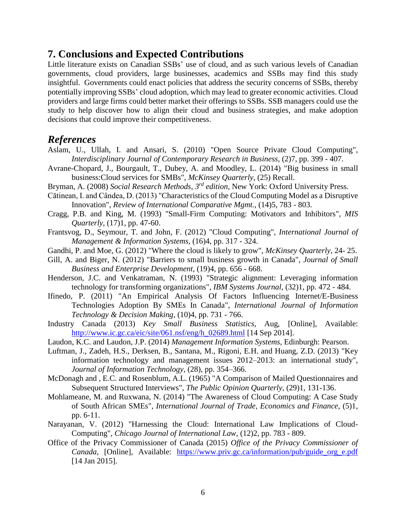### **7. Conclusions and Expected Contributions**

Little literature exists on Canadian SSBs' use of cloud, and as such various levels of Canadian governments, cloud providers, large businesses, academics and SSBs may find this study insightful. Governments could enact policies that address the security concerns of SSBs, thereby potentially improving SSBs' cloud adoption, which may lead to greater economic activities. Cloud providers and large firms could better market their offerings to SSBs. SSB managers could use the study to help discover how to align their cloud and business strategies, and make adoption decisions that could improve their competitiveness.

#### *References*

- Aslam, U., Ullah, I. and Ansari, S. (2010) "Open Source Private Cloud Computing", *Interdisciplinary Journal of Contemporary Research in Business*, (2)7, pp. 399 - 407.
- Avrane-Chopard, J., Bourgault, T., Dubey, A. and Moodley, L. (2014) "Big business in small business:Cloud services for SMBs", *McKinsey Quarterly*, (25) Recall.
- Bryman, A. (2008) *Social Research Methods*, *3 rd edition,* New York: Oxford University Press.
- Cătinean, I. and Cândea, D. (2013) "Characteristics of the Cloud Computing Model as a Disruptive Innovation", *Review of International Comparative Mgmt.*, (14)5, 783 - 803.
- Cragg, P.B. and King, M. (1993) "Small-Firm Computing: Motivators and Inhibitors", *MIS Quarterly*, (17)1, pp. 47-60.
- Frantsvog, D., Seymour, T. and John, F. (2012) "Cloud Computing", *International Journal of Management & Information Systems*, (16)4, pp. 317 - 324.
- Gandhi, P. and Moe, G. (2012) "Where the cloud is likely to grow", *McKinsey Quarterly*, 24- 25.
- Gill, A. and Biger, N. (2012) "Barriers to small business growth in Canada", *Journal of Small Business and Enterprise Development*, (19)4, pp. 656 - 668.
- Henderson, J.C. and Venkatraman, N. (1993) "Strategic alignment: Leveraging information technology for transforming organizations", *IBM Systems Journal*, (32)1, pp. 472 - 484.
- Ifinedo, P. (2011) "An Empirical Analysis Of Factors Influencing Internet/E-Business Technologies Adoption By SMEs In Canada", *International Journal of Information Technology & Decision Making*, (10)4, pp. 731 - 766.
- Industry Canada (2013) *Key Small Business Statistics*, Aug, [Online], Available: [http://www.ic.gc.ca/eic/site/061.nsf/eng/h\\_02689.html](http://www.ic.gc.ca/eic/site/061.nsf/eng/h_02689.html) [14 Sep 2014].
- Laudon, K.C. and Laudon, J.P. (2014) *Management Information Systems*, Edinburgh: Pearson.
- Luftman, J., Zadeh, H.S., Derksen, B., Santana, M., Rigoni, E.H. and Huang, Z.D. (2013) "Key information technology and management issues 2012–2013: an international study", *Journal of Information Technology*, (28), pp. 354–366.
- McDonagh and , E.C. and Rosenblum, A.L. (1965) "A Comparison of Mailed Questionnaires and Subsequent Structured Interviews", *The Public Opinion Quarterly*, (29)1, 131-136.
- Mohlameane, M. and Ruxwana, N. (2014) "The Awareness of Cloud Computing: A Case Study of South African SMEs", *International Journal of Trade, Economics and Finance*, (5)1, pp. 6-11.
- Narayanan, V. (2012) "Harnessing the Cloud: International Law Implications of Cloud-Computing", *Chicago Journal of International Law*, (12)2, pp. 783 - 809.
- Office of the Privacy Commissioner of Canada (2015) *Office of the Privacy Commissioner of Canada*, [Online], Available: [https://www.priv.gc.ca/information/pub/guide\\_org\\_e.pdf](https://www.priv.gc.ca/information/pub/guide_org_e.pdf) [14 Jan 2015].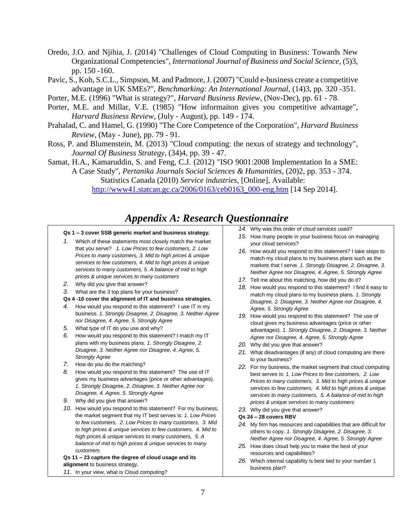- Oredo, J.O. and Njihia, J. (2014) "Challenges of Cloud Computing in Business: Towards New Organizational Competencies", *International Journal of Business and Social Science*, (5)3, pp. 150 -160.
- Pavic, S., Koh, S.C.L., Simpson, M. and Padmore, J. (2007) "Could e-business create a competitive advantage in UK SMEs?", *Benchmarking: An International Journal*, (14)3, pp. 320 -351.
- Porter, M.E. (1996) "What is strategy?", *Harvard Business Review*, (Nov-Dec), pp. 61 78.
- Porter, M.E. and Millar, V.E. (1985) "How informaiton gives you competitive advantage", *Harvard Business Review*, (July - August), pp. 149 - 174.
- Prahalad, C. and Hamel, G. (1990) "The Core Competence of the Corporation", *Harvard Business Review*, (May - June), pp. 79 - 91.
- Ross, P. and Blumenstein, M. (2013) "Cloud computing: the nexus of strategy and technology", *Journal Of Business Strategy*, (34)4, pp. 39 - 47.
- Samat, H.A., Kamaruddin, S. and Feng, C.J. (2012) "ISO 9001:2008 Implementation In a SME:

A Case Study", *Pertanika Journals Social Sciences & Humanities*, (20)2, pp. 353 - 374. Statistics Canada (2010) *Service industries*, [Online], Available:

[http://www41.statcan.gc.ca/2006/0163/ceb0163\\_000-eng.htm](http://www41.statcan.gc.ca/2006/0163/ceb0163_000-eng.htm) [14 Sep 2014].

## *Appendix A: Research Questionnaire*

#### **Qs 1 – 3 cover SSB generic market and business strategy.**

- *1.* Which of these statements most closely match the market that you serve? *1. Low Prices to few customers, 2. Low Prices to many customers, 3. Mid to high prices & unique services to few customers, 4. Mid to high prices & unique services to many customers, 5. A balance of mid to high prices & unique services to many customers*
- *2.* Why did you give that answer?
- *3.* What are the 3 top plans for your business?
- **Qs 4 -10 cover the alignment of IT and business strategies.**
- *4.* How would you respond to this statement? I use IT in my business. *1. Strongly Disagree, 2. Disagree, 3. Neither Agree nor Disagree, 4. Agree, 5. Strongly Agree*
- *5.* What type of IT do you use and why?
- *6.* How would you respond to this statement? I match my IT plans with my business plans. *1. Strongly Disagree, 2. Disagree, 3. Neither Agree nor Disagree, 4. Agree, 5. Strongly Agree*
- *7.* How do you do the matching?
- *8.* How would you respond to this statement? The use of IT gives my business advantages (price or other advantages). *1. Strongly Disagree, 2. Disagree, 3. Neither Agree nor Disagree, 4. Agree, 5. Strongly Agree*
- *9.* Why did you give that answer?
- *10.* How would you respond to this statement? For my business, the market segment that my IT best serves is: *1. Low Prices to few customers, 2. Low Prices to many customers, 3. Mid to high prices & unique services to few customers, 4. Mid to high prices & unique services to many customers, 5. A balance of mid to high prices & unique services to many customers*

**Qs 11 – 23 capture the degree of cloud usage and its alignment** to business strategy.

*11.* In your view, what is Cloud computing?

*14.* Why was this order of cloud services used?

- *15.* How many people in your business focus on managing your cloud services?
- *16.* How would you respond to this statement? I take steps to match my cloud plans to my business plans such as the markets that I serve. *1. Strongly Disagree, 2. Disagree, 3. Neither Agree nor Disagree, 4. Agree, 5. Strongly Agree*
- *17.* Tell me about this matching, how did you do it?
- *18.* How would you respond to this statement? I find it easy to match my cloud plans to my business plans. *1. Strongly Disagree, 2. Disagree, 3. Neither Agree nor Disagree, 4. Agree, 5. Strongly Agree*
- *19.* How would you respond to this statement? The use of cloud gives my business advantages (price or other advantages). *1. Strongly Disagree, 2. Disagree, 3. Neither Agree nor Disagree, 4. Agree, 5. Strongly Agree*
- *20.* Why did you give that answer?
- *21.* What disadvantages (if any) of cloud computing are there to your business?
- *22.* For my business, the market segment that cloud computing best serves is: *1. Low Prices to few customers, 2. Low Prices to many customers, 3. Mid to high prices & unique services to few customers, 4. Mid to high prices & unique services to many customers, 5. A balance of mid to high prices & unique services to many customers*
- *23.* Why did you give that answer?

#### **Qs 24 – 28 covers RBV**

- *24.* My firm has resources and capabilities that are difficult for others to copy. *1. Strongly Disagree, 2. Disagree, 3. Neither Agree nor Disagree, 4. Agree, 5. Strongly Agree*
- *25.* How does cloud help you to make the best of your resources and capabilities?
- *26.* Which internal capability is best tied to your number 1 business plan?